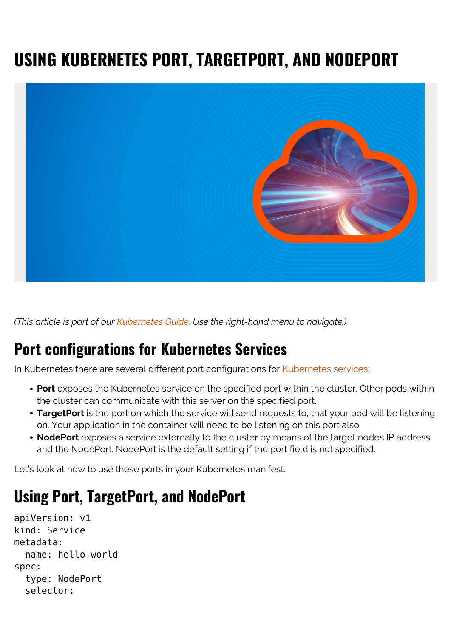# **USING KUBERNETES PORT, TARGETPORT, AND NODEPORT**



*(This article is part of our [Kubernetes Guide](https://blogs.bmc.com/blogs/what-is-kubernetes/). Use the right-hand menu to navigate.)*

### **Port configurations for Kubernetes Services**

In Kubernetes there are several different port configurations for [Kubernetes services:](https://blogs.bmc.com/blogs/kubernetes-services/)

- **Port** exposes the Kubernetes service on the specified port within the cluster. Other pods within the cluster can communicate with this server on the specified port.
- **TargetPort** is the port on which the service will send requests to, that your pod will be listening on. Your application in the container will need to be listening on this port also.
- **NodePort** exposes a service externally to the cluster by means of the target nodes IP address and the NodePort. NodePort is the default setting if the port field is not specified.

Let's look at how to use these ports in your Kubernetes manifest.

## **Using Port, TargetPort, and NodePort**

```
apiVersion: v1
kind: Service
metadata:
   name: hello-world
spec:
   type: NodePort
   selector:
```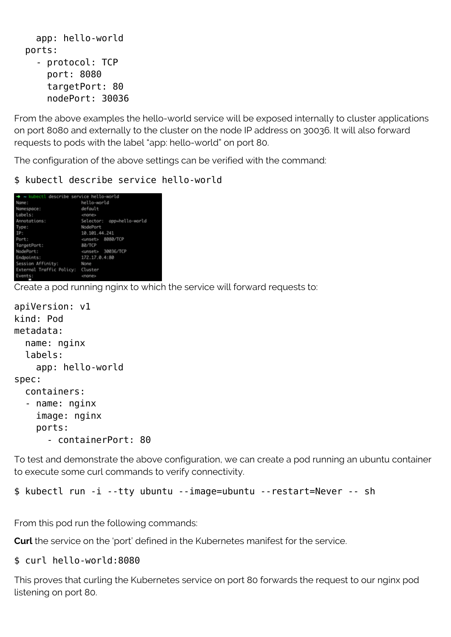```
 app: hello-world
 ports:
   - protocol: TCP
     port: 8080
     targetPort: 80
```
nodePort: 30036

From the above examples the hello-world service will be exposed internally to cluster applications on port 8080 and externally to the cluster on the node IP address on 30036. It will also forward requests to pods with the label "app: hello-world" on port 80.

The configuration of the above settings can be verified with the command:

\$ kubectl describe service hello-world

| → ~ kubectl describe service hello-world |                           |
|------------------------------------------|---------------------------|
| Name:                                    | hello-world               |
| Namespace:                               | default                   |
| Labels:                                  | <mone></mone>             |
| Annotations:                             | Selector: app=hello-world |
| Type:                                    | NodePort                  |
| TP:                                      | 10.101.44.241             |
| Port:                                    | <unset> 8080/TCP</unset>  |
| TangetPort:                              | 88/TCP                    |
| NodePort:                                | <unset> 30036/TCP</unset> |
| Endpoints:                               | 172.17.0.4:80             |
| Session Affinity:                        | None                      |
| External Traffic Policy: Cluster         |                           |
| Events:                                  | <mone></mone>             |

Create a pod running nginx to which the service will forward requests to:

```
apiVersion: v1
kind: Pod
metadata:
   name: nginx
   labels:
     app: hello-world
spec:
   containers:
   - name: nginx
     image: nginx
     ports:
       - containerPort: 80
```
To test and demonstrate the above configuration, we can create a pod running an ubuntu container to execute some curl commands to verify connectivity.

```
$ kubectl run -i --tty ubuntu --image=ubuntu --restart=Never -- sh
```
From this pod run the following commands:

**Curl** the service on the 'port' defined in the Kubernetes manifest for the service.

#### \$ curl hello-world:8080

This proves that curling the Kubernetes service on port 80 forwards the request to our nginx pod listening on port 80.